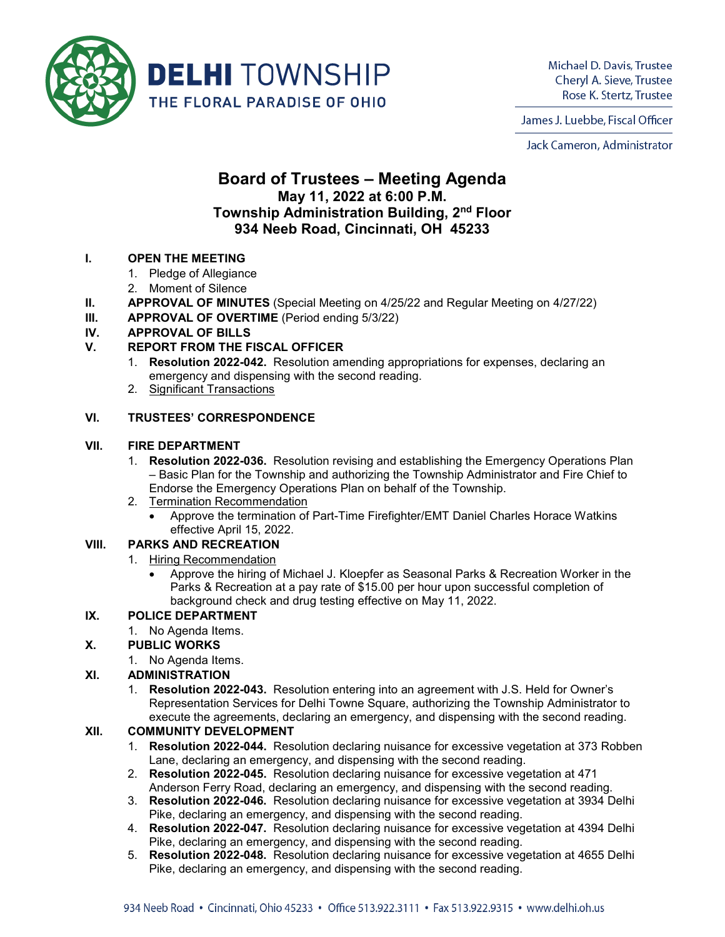

Michael D. Davis, Trustee Cheryl A. Sieve, Trustee Rose K. Stertz, Trustee

James J. Luebbe, Fiscal Officer

Jack Cameron, Administrator

# **Board of Trustees – Meeting Agenda May 11, 2022 at 6:00 P.M. Township Administration Building, 2nd Floor 934 Neeb Road, Cincinnati, OH 45233**

#### **I. OPEN THE MEETING**

- 1. Pledge of Allegiance
- 2. Moment of Silence
- **II. APPROVAL OF MINUTES** (Special Meeting on 4/25/22 and Regular Meeting on 4/27/22)
- **III. APPROVAL OF OVERTIME** (Period ending 5/3/22)

# **IV. APPROVAL OF BILLS**

# **V. REPORT FROM THE FISCAL OFFICER**

- 1. **Resolution 2022-042.** Resolution amending appropriations for expenses, declaring an emergency and dispensing with the second reading.
- 2. Significant Transactions

#### **VI. TRUSTEES' CORRESPONDENCE**

#### **VII. FIRE DEPARTMENT**

- 1. **Resolution 2022-036.** Resolution revising and establishing the Emergency Operations Plan – Basic Plan for the Township and authorizing the Township Administrator and Fire Chief to Endorse the Emergency Operations Plan on behalf of the Township.
- 2. Termination Recommendation
	- Approve the termination of Part-Time Firefighter/EMT Daniel Charles Horace Watkins effective April 15, 2022.

# **VIII. PARKS AND RECREATION**

- 1. Hiring Recommendation
	- Approve the hiring of Michael J. Kloepfer as Seasonal Parks & Recreation Worker in the Parks & Recreation at a pay rate of \$15.00 per hour upon successful completion of background check and drug testing effective on May 11, 2022.

#### **IX. POLICE DEPARTMENT**

1. No Agenda Items.

#### **X. PUBLIC WORKS**

1. No Agenda Items.

#### **XI. ADMINISTRATION**

1. **Resolution 2022-043.** Resolution entering into an agreement with J.S. Held for Owner's Representation Services for Delhi Towne Square, authorizing the Township Administrator to execute the agreements, declaring an emergency, and dispensing with the second reading.

#### **XII. COMMUNITY DEVELOPMENT**

- 1. **Resolution 2022-044.** Resolution declaring nuisance for excessive vegetation at 373 Robben Lane, declaring an emergency, and dispensing with the second reading.
- 2. **Resolution 2022-045.** Resolution declaring nuisance for excessive vegetation at 471 Anderson Ferry Road, declaring an emergency, and dispensing with the second reading.
- 3. **Resolution 2022-046.** Resolution declaring nuisance for excessive vegetation at 3934 Delhi Pike, declaring an emergency, and dispensing with the second reading.
- 4. **Resolution 2022-047.** Resolution declaring nuisance for excessive vegetation at 4394 Delhi Pike, declaring an emergency, and dispensing with the second reading.
- 5. **Resolution 2022-048.** Resolution declaring nuisance for excessive vegetation at 4655 Delhi Pike, declaring an emergency, and dispensing with the second reading.